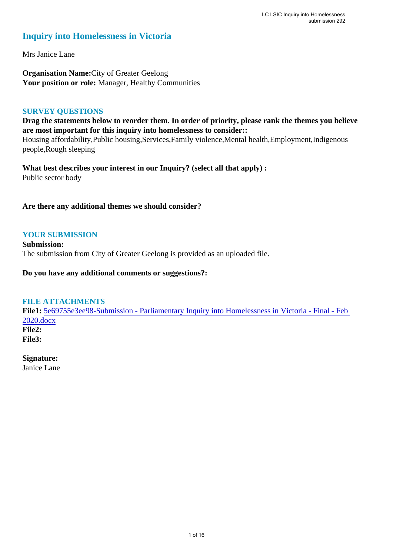### **Inquiry into Homelessness in Victoria**

Mrs Janice Lane

**Organisation Name:**City of Greater Geelong Your position or role: Manager, Healthy Communities

### **SURVEY QUESTIONS**

**Drag the statements below to reorder them. In order of priority, please rank the themes you believe are most important for this inquiry into homelessness to consider::** 

Housing affordability,Public housing,Services,Family violence,Mental health,Employment,Indigenous people,Rough sleeping

**What best describes your interest in our Inquiry? (select all that apply) :**  Public sector body

### **Are there any additional themes we should consider?**

### **YOUR SUBMISSION**

**Submission:**  The submission from City of Greater Geelong is provided as an uploaded file.

**Do you have any additional comments or suggestions?:** 

### **FILE ATTACHMENTS**

**File1:** 5e69755e3ee98-Submission - Parliamentary Inquiry into Homelessness in Victoria - Final - Feb 2020.docx **File2:** 

**File3:** 

### **Signature:**

Janice Lane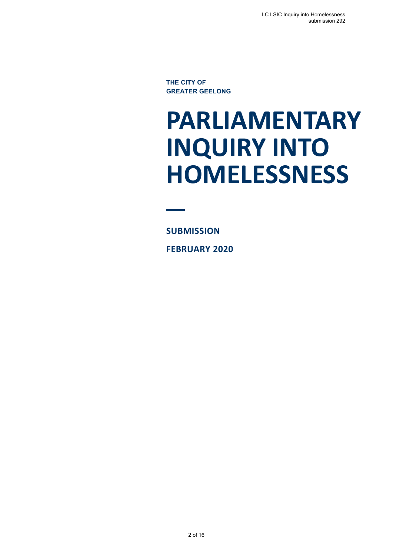**THE CITY OF GREATER GEELONG**

# **PARLIAMENTARY INQUIRY INTO HOMELESSNESS**

**SUBMISSION FEBRUARY 2020**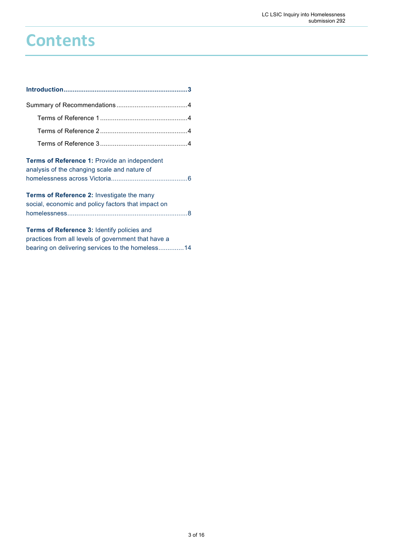# **Contents**

| Terms of Reference 1: Provide an independent<br>analysis of the changing scale and nature of                                                                  |
|---------------------------------------------------------------------------------------------------------------------------------------------------------------|
| <b>Terms of Reference 2: Investigate the many</b><br>social, economic and policy factors that impact on                                                       |
| <b>Terms of Reference 3: Identify policies and</b><br>practices from all levels of government that have a<br>bearing on delivering services to the homeless14 |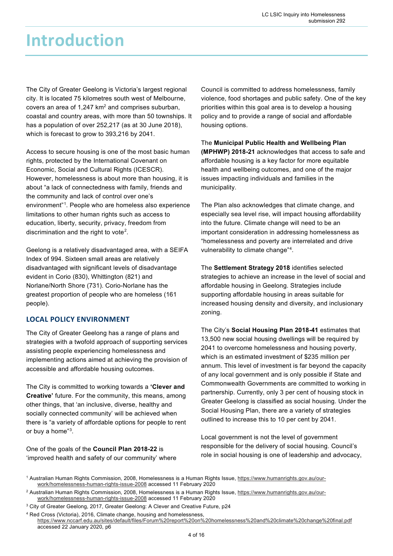## **Introduction**

The City of Greater Geelong is Victoria's largest regional city. It is located 75 kilometres south west of Melbourne, covers an area of  $1,247$  km<sup>2</sup> and comprises suburban, coastal and country areas, with more than 50 townships. It has a population of over 252,217 (as at 30 June 2018), which is forecast to grow to 393,216 by 2041.

Access to secure housing is one of the most basic human rights, protected by the International Covenant on Economic, Social and Cultural Rights (ICESCR). However, homelessness is about more than housing, it is about "a lack of connectedness with family, friends and the community and lack of control over one's environment"1 . People who are homeless also experience limitations to other human rights such as access to education, liberty, security, privacy, freedom from discrimination and the right to vote<sup>2</sup>.

Geelong is a relatively disadvantaged area, with a SEIFA Index of 994. Sixteen small areas are relatively disadvantaged with significant levels of disadvantage evident in Corio (830), Whittington (821) and Norlane/North Shore (731). Corio-Norlane has the greatest proportion of people who are homeless (161 people).

### **LOCAL POLICY ENVIRONMENT**

The City of Greater Geelong has a range of plans and strategies with a twofold approach of supporting services assisting people experiencing homelessness and implementing actions aimed at achieving the provision of accessible and affordable housing outcomes.

The City is committed to working towards a **'Clever and Creative'** future. For the community, this means, among other things, that 'an inclusive, diverse, healthy and socially connected community' will be achieved when there is "a variety of affordable options for people to rent or buy a home"<sup>3</sup>.

One of the goals of the **Council Plan 2018-22** is 'improved health and safety of our community' where Council is committed to address homelessness, family violence, food shortages and public safety. One of the key priorities within this goal area is to develop a housing policy and to provide a range of social and affordable housing options.

The **Municipal Public Health and Wellbeing Plan (MPHWP) 2018-21** acknowledges that access to safe and affordable housing is a key factor for more equitable health and wellbeing outcomes, and one of the major issues impacting individuals and families in the municipality.

The Plan also acknowledges that climate change, and especially sea level rise, will impact housing affordability into the future. Climate change will need to be an important consideration in addressing homelessness as "homelessness and poverty are interrelated and drive vulnerability to climate change"4 .

The **Settlement Strategy 2018** identifies selected strategies to achieve an increase in the level of social and affordable housing in Geelong. Strategies include supporting affordable housing in areas suitable for increased housing density and diversity, and inclusionary zoning.

The City's **Social Housing Plan 2018-41** estimates that 13,500 new social housing dwellings will be required by 2041 to overcome homelessness and housing poverty, which is an estimated investment of \$235 million per annum. This level of investment is far beyond the capacity of any local government and is only possible if State and Commonwealth Governments are committed to working in partnership. Currently, only 3 per cent of housing stock in Greater Geelong is classified as social housing. Under the Social Housing Plan, there are a variety of strategies outlined to increase this to 10 per cent by 2041.

Local government is not the level of government responsible for the delivery of social housing. Council's role in social housing is one of leadership and advocacy,

<sup>1</sup> Australian Human Rights Commission, 2008, Homelessness is a Human Rights Issue, https://www.humanrights.gov.au/ourwork/homelessness-human-rights-issue-2008 accessed 11 February 2020

<sup>2</sup> Australian Human Rights Commission, 2008, Homelessness is a Human Rights Issue, https://www.humanrights.gov.au/ourwork/homelessness-human-rights-issue-2008 accessed 11 February 2020

<sup>3</sup> City of Greater Geelong, 2017, Greater Geelong: A Clever and Creative Future, p24

<sup>4</sup> Red Cross (Victoria), 2016, Climate change, housing and homelessness, https://www.nccarf.edu.au/sites/default/files/Forum%20report%20on%20homelessness%20and%20climate%20change%20final.pdf accessed 22 January 2020, p6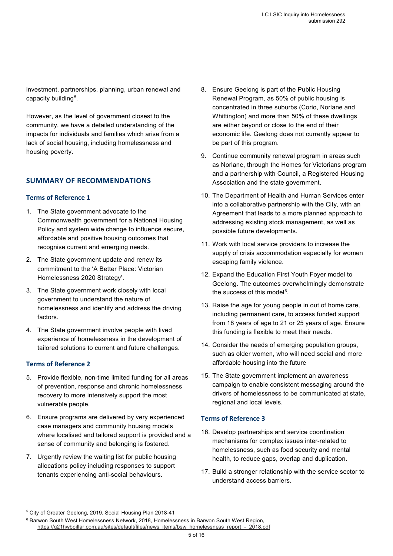investment, partnerships, planning, urban renewal and capacity building<sup>5</sup>.

However, as the level of government closest to the community, we have a detailed understanding of the impacts for individuals and families which arise from a lack of social housing, including homelessness and housing poverty.

### **SUMMARY OF RECOMMENDATIONS**

#### **Terms of Reference 1**

- 1. The State government advocate to the Commonwealth government for a National Housing Policy and system wide change to influence secure, affordable and positive housing outcomes that recognise current and emerging needs.
- 2. The State government update and renew its commitment to the 'A Better Place: Victorian Homelessness 2020 Strategy'.
- 3. The State government work closely with local government to understand the nature of homelessness and identify and address the driving factors.
- 4. The State government involve people with lived experience of homelessness in the development of tailored solutions to current and future challenges.

### **Terms of Reference 2**

- 5. Provide flexible, non-time limited funding for all areas of prevention, response and chronic homelessness recovery to more intensively support the most vulnerable people.
- 6. Ensure programs are delivered by very experienced case managers and community housing models where localised and tailored support is provided and a sense of community and belonging is fostered.
- 7. Urgently review the waiting list for public housing allocations policy including responses to support tenants experiencing anti-social behaviours.
- 8. Ensure Geelong is part of the Public Housing Renewal Program, as 50% of public housing is concentrated in three suburbs (Corio, Norlane and Whittington) and more than 50% of these dwellings are either beyond or close to the end of their economic life. Geelong does not currently appear to be part of this program.
- 9. Continue community renewal program in areas such as Norlane, through the Homes for Victorians program and a partnership with Council, a Registered Housing Association and the state government.
- 10. The Department of Health and Human Services enter into a collaborative partnership with the City, with an Agreement that leads to a more planned approach to addressing existing stock management, as well as possible future developments.
- 11. Work with local service providers to increase the supply of crisis accommodation especially for women escaping family violence.
- 12. Expand the Education First Youth Foyer model to Geelong. The outcomes overwhelmingly demonstrate the success of this model $^6$ .
- 13. Raise the age for young people in out of home care, including permanent care, to access funded support from 18 years of age to 21 or 25 years of age. Ensure this funding is flexible to meet their needs.
- 14. Consider the needs of emerging population groups, such as older women, who will need social and more affordable housing into the future
- 15. The State government implement an awareness campaign to enable consistent messaging around the drivers of homelessness to be communicated at state, regional and local levels.

### **Terms of Reference 3**

- 16. Develop partnerships and service coordination mechanisms for complex issues inter-related to homelessness, such as food security and mental health, to reduce gaps, overlap and duplication.
- 17. Build a stronger relationship with the service sector to understand access barriers.

<sup>5</sup> City of Greater Geelong, 2019, Social Housing Plan 2018-41

<sup>&</sup>lt;sup>6</sup> Barwon South West Homelessness Network, 2018, Homelessness in Barwon South West Region, https://g21hwbpillar.com.au/sites/default/files/news items/bsw homelessness report - 2018.pdf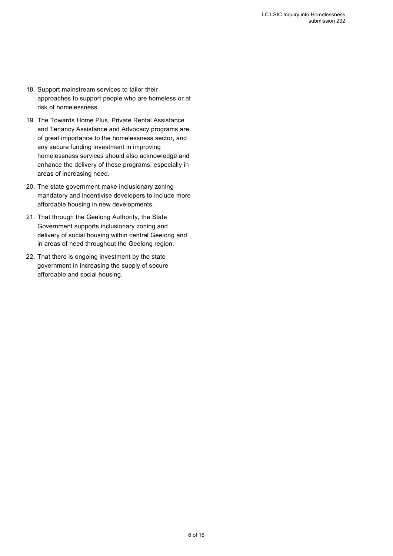- 18. Support mainstream services to tailor their approaches to support people who are homeless or at risk of homelessness.
- 19. The Towards Home Plus, Private Rental Assistance and Tenancy Assistance and Advocacy programs are of great importance to the homelessness sector, and any secure funding investment in improving homelessness services should also acknowledge and enhance the delivery of these programs, especially in areas of increasing need.
- 20. The state government make inclusionary zoning mandatory and incentivise developers to include more affordable housing in new developments.
- 21. That through the Geelong Authority, the State Government supports inclusionary zoning and delivery of social housing within central Geelong and in areas of need throughout the Geelong region.
- 22. That there is ongoing investment by the state government in increasing the supply of secure affordable and social housing.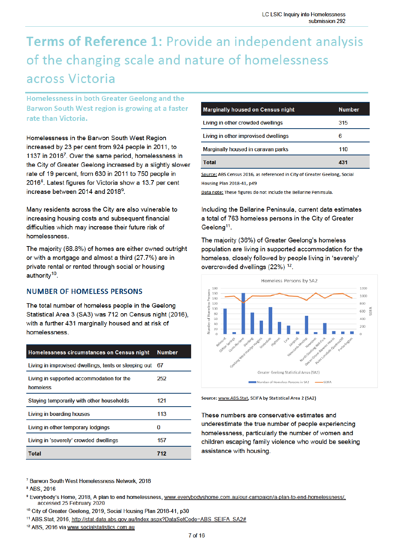### Terms of Reference 1: Provide an independent analysis of the changing scale and nature of homelessness across Victoria

Homelessness in both Greater Geelong and the Barwon South West region is growing at a faster rate than Victoria.

Homelessness in the Barwon South West Region increased by 23 per cent from 924 people in 2011, to 1137 in 2016<sup>7</sup>. Over the same period, homelessness in the City of Greater Geelong increased by a slightly slower rate of 19 percent, from 630 in 2011 to 750 people in 2016<sup>8</sup>. Latest figures for Victoria show a 13.7 per cent increase between 2014 and 2018<sup>9</sup>.

Many residents across the City are also vulnerable to increasing housing costs and subsequent financial difficulties which may increase their future risk of homelessness.

The majority (68.8%) of homes are either owned outright or with a mortgage and almost a third (27.7%) are in private rental or rented through social or housing authority<sup>10</sup>.

### **NUMBER OF HOMELESS PERSONS**

The total number of homeless people in the Geelong Statistical Area 3 (SA3) was 712 on Census night (2016), with a further 431 marginally housed and at risk of homelessness.

| Homelessness circumstances on Census night            | <b>Number</b> |
|-------------------------------------------------------|---------------|
| Living in improvised dwellings, tents or sleeping out | -67           |
| Living in supported accommodation for the<br>homeless | 252           |
| Staying temporarily with other households             | 121           |
| Living in boarding houses                             | 113           |
| Living in other temporary lodgings                    | O             |
| Living in 'severely' crowded dwellings                | 157           |
| Total                                                 | 712           |

| <b>Marginally housed on Census night</b> | <b>Number</b> |
|------------------------------------------|---------------|
| Living in other crowded dwellings        | 315           |
| Living in other improvised dwellings     | 6             |
| Marginally housed in caravan parks       | 110           |
| Total                                    | 431           |

Source: ABS Census 2016, as referenced in City of Greater Geelong, Social Housing Plan 2018-41, p49

Data note: These figures do not include the Bellarine Peninsula.

Including the Bellarine Peninsula, current data estimates a total of 763 homeless persons in the City of Greater Geelong<sup>11</sup>.

The majority (36%) of Greater Geelong's homeless population are living in supported accommodation for the homeless, closely followed by people living in 'severely' overcrowded dwellings (22%)<sup>12</sup>.



Source: www.ABS.Stat, SEIFA by Statistical Area 2 (SA2)

These numbers are conservative estimates and underestimate the true number of people experiencing homelessness, particularly the number of women and children escaping family violence who would be seeking assistance with housing.

<sup>7</sup> Barwon South West Homelessness Network, 2018

<sup>8</sup> ABS, 2016

<sup>9</sup> Everybody's Home, 2018, A plan to end homelessness, www.everybodyshome.com.au/our-campaign/a-plan-to-end-homelessness/, accessed 25 February 2020

<sup>10</sup> City of Greater Geelong, 2019, Social Housing Plan 2018-41, p30

<sup>11</sup> ABS.Stat, 2016, http://stat.data.abs.gov.au/Index.aspx?DataSetCode=ABS\_SEIFA\_SA2#

<sup>12</sup> ABS, 2016 via www.socialstatistics.com.au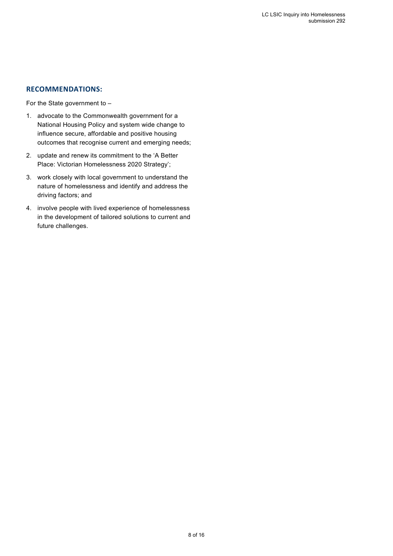### **RECOMMENDATIONS:**

For the State government to –

- 1. advocate to the Commonwealth government for a National Housing Policy and system wide change to influence secure, affordable and positive housing outcomes that recognise current and emerging needs;
- 2. update and renew its commitment to the 'A Better Place: Victorian Homelessness 2020 Strategy';
- 3. work closely with local government to understand the nature of homelessness and identify and address the driving factors; and
- 4. involve people with lived experience of homelessness in the development of tailored solutions to current and future challenges.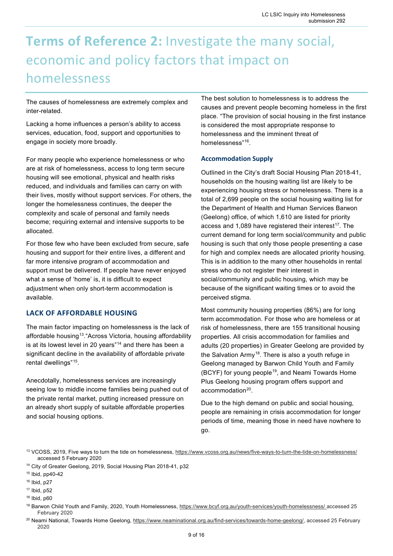### **Terms of Reference 2:** Investigate the many social, economic and policy factors that impact on homelessness

The causes of homelessness are extremely complex and inter-related.

Lacking a home influences a person's ability to access services, education, food, support and opportunities to engage in society more broadly.

For many people who experience homelessness or who are at risk of homelessness, access to long term secure housing will see emotional, physical and health risks reduced, and individuals and families can carry on with their lives, mostly without support services. For others, the longer the homelessness continues, the deeper the complexity and scale of personal and family needs become; requiring external and intensive supports to be allocated.

For those few who have been excluded from secure, safe housing and support for their entire lives, a different and far more intensive program of accommodation and support must be delivered. If people have never enjoyed what a sense of 'home' is, it is difficult to expect adjustment when only short-term accommodation is available.

### **LACK OF AFFORDABLE HOUSING**

The main factor impacting on homelessness is the lack of affordable housing<sup>13</sup>. "Across Victoria, housing affordability is at its lowest level in 20 years"14 and there has been a significant decline in the availability of affordable private rental dwellings"<sup>15</sup>.

Anecdotally, homelessness services are increasingly seeing low to middle income families being pushed out of the private rental market, putting increased pressure on an already short supply of suitable affordable properties and social housing options.

The best solution to homelessness is to address the causes and prevent people becoming homeless in the first place. "The provision of social housing in the first instance is considered the most appropriate response to homelessness and the imminent threat of homelessness"16.

### **Accommodation Supply**

Outlined in the City's draft Social Housing Plan 2018-41, households on the housing waiting list are likely to be experiencing housing stress or homelessness. There is a total of 2,699 people on the social housing waiting list for the Department of Health and Human Services Barwon (Geelong) office, of which 1,610 are listed for priority access and  $1,089$  have registered their interest<sup>17</sup>. The current demand for long term social/community and public housing is such that only those people presenting a case for high and complex needs are allocated priority housing. This is in addition to the many other households in rental stress who do not register their interest in social/community and public housing, which may be because of the significant waiting times or to avoid the perceived stigma.

Most community housing properties (86%) are for long term accommodation. For those who are homeless or at risk of homelessness, there are 155 transitional housing properties. All crisis accommodation for families and adults (20 properties) in Greater Geelong are provided by the Salvation Army<sup>18</sup>. There is also a youth refuge in Geelong managed by Barwon Child Youth and Family (BCYF) for young people<sup>19</sup>, and Neami Towards Home Plus Geelong housing program offers support and accommodation<sup>20</sup>.

Due to the high demand on public and social housing, people are remaining in crisis accommodation for longer periods of time, meaning those in need have nowhere to go.

<sup>13</sup> VCOSS, 2019, Five ways to turn the tide on homelessness, https://www.vcoss.org.au/news/five-ways-to-turn-the-tide-on-homelessness/ accessed 5 February 2020

<sup>14</sup> City of Greater Geelong, 2019, Social Housing Plan 2018-41, p32

<sup>15</sup> Ibid, pp40-42

<sup>16</sup> Ibid, p27

<sup>17</sup> Ibid, p52

<sup>18</sup> Ibid, p60

<sup>19</sup> Barwon Child Youth and Family, 2020, Youth Homelessness, https://www.bcyf.org.au/youth-services/youth-homelessness/ accessed 25 February 2020

<sup>&</sup>lt;sup>20</sup> Neami National, Towards Home Geelong, https://www.neaminational.org.au/find-services/towards-home-geelong/, accessed 25 February 2020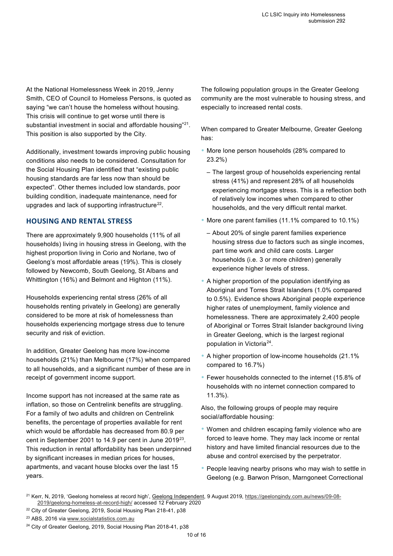At the National Homelessness Week in 2019, Jenny Smith, CEO of Council to Homeless Persons, is quoted as saying "we can't house the homeless without housing. This crisis will continue to get worse until there is substantial investment in social and affordable housing"<sup>21</sup>. This position is also supported by the City.

Additionally, investment towards improving public housing conditions also needs to be considered. Consultation for the Social Housing Plan identified that "existing public housing standards are far less now than should be expected". Other themes included low standards, poor building condition, inadequate maintenance, need for upgrades and lack of supporting infrastructure<sup>22</sup>.

### **HOUSING AND RENTAL STRESS**

There are approximately 9,900 households (11% of all households) living in housing stress in Geelong, with the highest proportion living in Corio and Norlane, two of Geelong's most affordable areas (19%). This is closely followed by Newcomb, South Geelong, St Albans and Whittington (16%) and Belmont and Highton (11%).

Households experiencing rental stress (26% of all households renting privately in Geelong) are generally considered to be more at risk of homelessness than households experiencing mortgage stress due to tenure security and risk of eviction.

In addition, Greater Geelong has more low-income households (21%) than Melbourne (17%) when compared to all households, and a significant number of these are in receipt of government income support.

Income support has not increased at the same rate as inflation, so those on Centrelink benefits are struggling. For a family of two adults and children on Centrelink benefits, the percentage of properties available for rent which would be affordable has decreased from 80.9 per cent in September 2001 to 14.9 per cent in June 201923. This reduction in rental affordability has been underpinned by significant increases in median prices for houses, apartments, and vacant house blocks over the last 15 years.

The following population groups in the Greater Geelong community are the most vulnerable to housing stress, and especially to increased rental costs.

When compared to Greater Melbourne, Greater Geelong has:

- More lone person households (28% compared to 23.2%)
	- The largest group of households experiencing rental stress (41%) and represent 28% of all households experiencing mortgage stress. This is a reflection both of relatively low incomes when compared to other households, and the very difficult rental market.
- More one parent families (11.1% compared to 10.1%)
	- About 20% of single parent families experience housing stress due to factors such as single incomes, part time work and child care costs. Larger households (i.e. 3 or more children) generally experience higher levels of stress.
- A higher proportion of the population identifying as Aboriginal and Torres Strait Islanders (1.0% compared to 0.5%). Evidence shows Aboriginal people experience higher rates of unemployment, family violence and homelessness. There are approximately 2,400 people of Aboriginal or Torres Strait Islander background living in Greater Geelong, which is the largest regional population in Victoria<sup>24</sup>.
- A higher proportion of low-income households (21.1% compared to 16.7%)
- Fewer households connected to the internet (15.8% of households with no internet connection compared to 11.3%).

Also, the following groups of people may require social/affordable housing:

- Women and children escaping family violence who are forced to leave home. They may lack income or rental history and have limited financial resources due to the abuse and control exercised by the perpetrator.
- People leaving nearby prisons who may wish to settle in Geelong (e.g. Barwon Prison, Marngoneet Correctional

<sup>22</sup> City of Greater Geelong, 2019, Social Housing Plan 218-41, p38

<sup>&</sup>lt;sup>21</sup> Kerr, N, 2019, 'Geelong homeless at record high', Geelong Independent, 9 August 2019, https://geelongindy.com.au/news/09-08-2019/geelong-homeless-at-record-high/ accessed 12 February 2020

<sup>23</sup> ABS, 2016 via www.socialstatistics.com.au

<sup>&</sup>lt;sup>24</sup> City of Greater Geelong, 2019, Social Housing Plan 2018-41, p38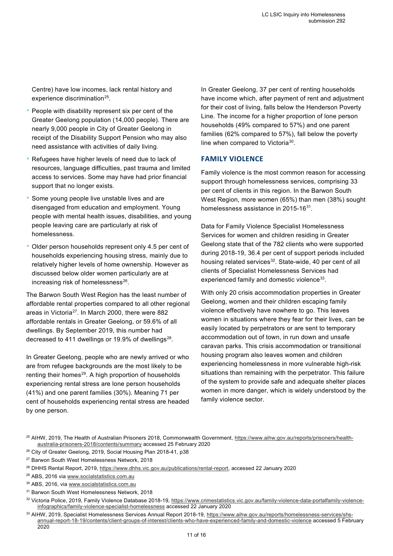Centre) have low incomes, lack rental history and experience discrimination<sup>25</sup>.

- People with disability represent six per cent of the Greater Geelong population (14,000 people). There are nearly 9,000 people in City of Greater Geelong in receipt of the Disability Support Pension who may also need assistance with activities of daily living.
- Refugees have higher levels of need due to lack of resources, language difficulties, past trauma and limited access to services. Some may have had prior financial support that no longer exists.
- Some young people live unstable lives and are disengaged from education and employment. Young people with mental health issues, disabilities, and young people leaving care are particularly at risk of homelessness.
- Older person households represent only 4.5 per cent of households experiencing housing stress, mainly due to relatively higher levels of home ownership. However as discussed below older women particularly are at increasing risk of homelessness $26$ .

The Barwon South West Region has the least number of affordable rental properties compared to all other regional areas in Victoria<sup>27</sup>. In March 2000, there were 882 affordable rentals in Greater Geelong, or 59.6% of all dwellings. By September 2019, this number had decreased to 411 dwellings or 19.9% of dwellings $^{28}$ .

In Greater Geelong, people who are newly arrived or who are from refugee backgrounds are the most likely to be renting their homes<sup>29</sup>. A high proportion of households experiencing rental stress are lone person households (41%) and one parent families (30%). Meaning 71 per cent of households experiencing rental stress are headed by one person.

In Greater Geelong, 37 per cent of renting households have income which, after payment of rent and adjustment for their cost of living, falls below the Henderson Poverty Line. The income for a higher proportion of lone person households (49% compared to 57%) and one parent families (62% compared to 57%), fall below the poverty line when compared to Victoria30.

### **FAMILY VIOLENCE**

Family violence is the most common reason for accessing support through homelessness services, comprising 33 per cent of clients in this region. In the Barwon South West Region, more women (65%) than men (38%) sought homelessness assistance in 2015-16<sup>31</sup>

Data for Family Violence Specialist Homelessness Services for women and children residing in Greater Geelong state that of the 782 clients who were supported during 2018-19, 36.4 per cent of support periods included housing related services<sup>32</sup>. State-wide, 40 per cent of all clients of Specialist Homelessness Services had experienced family and domestic violence<sup>33</sup>.

With only 20 crisis accommodation properties in Greater Geelong, women and their children escaping family violence effectively have nowhere to go. This leaves women in situations where they fear for their lives, can be easily located by perpetrators or are sent to temporary accommodation out of town, in run down and unsafe caravan parks. This crisis accommodation or transitional housing program also leaves women and children experiencing homelessness in more vulnerable high-risk situations than remaining with the perpetrator. This failure of the system to provide safe and adequate shelter places women in more danger, which is widely understood by the family violence sector.

<sup>&</sup>lt;sup>25</sup> AIHW, 2019, The Health of Australian Prisoners 2018, Commonwealth Government, https://www.aihw.gov.au/reports/prisoners/healthaustralia-prisoners-2018/contents/summary accessed 25 February 2020

<sup>&</sup>lt;sup>26</sup> City of Greater Geelong, 2019, Social Housing Plan 2018-41, p38

<sup>&</sup>lt;sup>27</sup> Barwon South West Homelessness Network, 2018

<sup>&</sup>lt;sup>28</sup> DHHS Rental Report, 2019, https://www.dhhs.vic.gov.au/publications/rental-report, accessed 22 January 2020

<sup>29</sup> ABS, 2016 via www.socialstatistics.com.au

<sup>30</sup> ABS, 2016, via www.socialstatistics.com.au

<sup>31</sup> Barwon South West Homelessness Network, 2018

<sup>32</sup> Victoria Police, 2019, Family Violence Database 2018-19, https://www.crimestatistics.vic.gov.au/family-violence-data-portalfamily-violenceinfographics/family-violence-specialist-homelessness accessed 22 January 2020

<sup>33</sup> AIHW, 2019, Specialist Homelessness Services Annual Report 2018-19, https://www.aihw.gov.au/reports/homelessness-services/shsannual-report-18-19/contents/client-groups-of-interest/clients-who-have-experienced-family-and-domestic-violence accessed 5 February 2020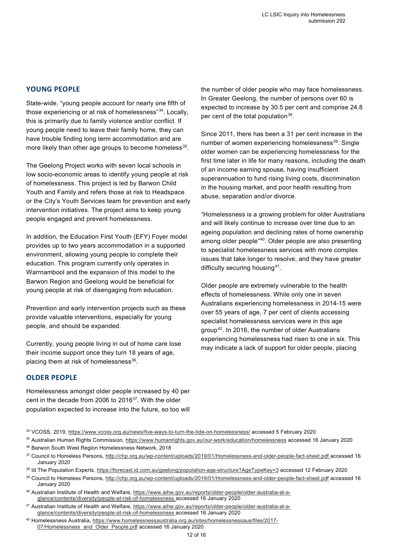### **YOUNG PEOPLE**

State-wide, "young people account for nearly one fifth of those experiencing or at risk of homelessness"34. Locally, this is primarily due to family violence and/or conflict. If young people need to leave their family home, they can have trouble finding long term accommodation and are more likely than other age groups to become homeless<sup>35</sup>.

The Geelong Project works with seven local schools in low socio-economic areas to identify young people at risk of homelessness. This project is led by Barwon Child Youth and Family and refers those at risk to Headspace or the City's Youth Services team for prevention and early intervention initiatives. The project aims to keep young people engaged and prevent homelessness.

In addition, the Education First Youth (EFY) Foyer model provides up to two years accommodation in a supported environment, allowing young people to complete their education. This program currently only operates in Warrnambool and the expansion of this model to the Barwon Region and Geelong would be beneficial for young people at risk of disengaging from education.

Prevention and early intervention projects such as these provide valuable interventions, especially for young people, and should be expanded.

Currently, young people living in out of home care lose their income support once they turn 18 years of age, placing them at risk of homelessness $36$ .

**OLDER PEOPLE**

Homelessness amongst older people increased by 40 per cent in the decade from 2006 to 2016<sup>37</sup>. With the older population expected to increase into the future, so too will the number of older people who may face homelessness. In Greater Geelong, the number of persons over 60 is expected to increase by 30.5 per cent and comprise 24.8 per cent of the total population<sup>38</sup>.

Since 2011, there has been a 31 per cent increase in the number of women experiencing homelessness<sup>39</sup>. Single older women can be experiencing homelessness for the first time later in life for many reasons, including the death of an income earning spouse, having insufficient superannuation to fund rising living costs, discrimination in the housing market, and poor health resulting from abuse, separation and/or divorce.

"Homelessness is a growing problem for older Australians and will likely continue to increase over time due to an ageing population and declining rates of home ownership among older people"40. Older people are also presenting to specialist homelessness services with more complex issues that take longer to resolve, and they have greater difficulty securing housing<sup>41</sup>.

Older people are extremely vulnerable to the health effects of homelessness. While only one in seven Australians experiencing homelessness in 2014-15 were over 55 years of age, 7 per cent of clients accessing specialist homelessness services were in this age group42. In 2016, the number of older Australians experiencing homelessness had risen to one in six. This may indicate a lack of support for older people, placing

<sup>36</sup> Barwon South West Region Homelessness Network, 2018

- <sup>40</sup> Australian Institute of Health and Welfare, https://www.aihw.gov.au/reports/older-people/older-australia-at-aglance/contents/diversity/people-at-risk-of-homelessness accessed 16 January 2020
- 41 Australian Institute of Health and Welfare, https://www.aihw.gov.au/reports/older-people/older-australia-at-aglance/contents/diversity/people-at-risk-of-homelessness accessed 16 January 2020

<sup>34</sup> VCOSS, 2019, https://www.vcoss.org.au/news/five-ways-to-turn-the-tide-on-homelessness/ accessed 5 February 2020

<sup>35</sup> Australian Human Rights Commission, https://www.humanrights.gov.au/our-work/education/homelessness accessed 16 January 2020

<sup>37</sup> Council to Homeless Persons, http://chp.org.au/wp-content/uploads/2019/01/Homelessness-and-older-people-fact-sheet.pdf accessed 16 January 2020

<sup>&</sup>lt;sup>38</sup> Id The Population Experts, https://forecast.id.com.au/geelong/population-age-structure?AgeTypeKey=3 accessed 12 February 2020

<sup>39</sup> Council to Homeless Persons, http://chp.org.au/wp-content/uploads/2019/01/Homelessness-and-older-people-fact-sheet.pdf accessed 16 January 2020

<sup>42</sup> Homelessness Australia, https://www.homelessnessaustralia.org.au/sites/homelessnessaus/files/2017- 07/Homelessness and Older People.pdf accessed 16 January 2020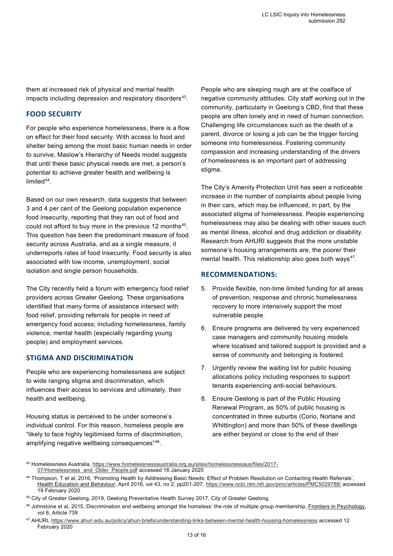them at increased risk of physical and mental health impacts including depression and respiratory disorders<sup>43</sup>.

### **FOOD SECURITY**

For people who experience homelessness, there is a flow on effect for their food security. With access to food and shelter being among the most basic human needs in order to survive, Maslow's Hierarchy of Needs model suggests that until these basic physical needs are met, a person's potential to achieve greater health and wellbeing is limited $44$ .

Based on our own research, data suggests that between 3 and 4 per cent of the Geelong population experience food insecurity, reporting that they ran out of food and could not afford to buy more in the previous 12 months<sup>45</sup>. This question has been the predominant measure of food security across Australia, and as a single measure, it underreports rates of food insecurity. Food security is also associated with low income, unemployment, social isolation and single person households.

The City recently held a forum with emergency food relief providers across Greater Geelong. These organisations identified that many forms of assistance intersect with food relief, providing referrals for people in need of emergency food access; including homelessness, family violence, mental health (especially regarding young people) and employment services.

### **STIGMA AND DISCRIMINATION**

People who are experiencing homelessness are subject to wide ranging stigma and discrimination, which influences their access to services and ultimately, their health and wellbeing.

Housing status is perceived to be under someone's individual control. For this reason, homeless people are "likely to face highly legitimised forms of discrimination, amplifying negative wellbeing consequences"46.

People who are sleeping rough are at the coalface of negative community attitudes. City staff working out in the community, particularly in Geelong's CBD, find that these people are often lonely and in need of human connection. Challenging life circumstances such as the death of a parent, divorce or losing a job can be the trigger forcing someone into homelessness. Fostering community compassion and increasing understanding of the drivers of homelessness is an important part of addressing stigma.

The City's Amenity Protection Unit has seen a noticeable increase in the number of complaints about people living in their cars, which may be influenced, in part, by the associated stigma of homelessness. People experiencing homelessness may also be dealing with other issues such as mental illness, alcohol and drug addiction or disability. Research from AHURI suggests that the more unstable someone's housing arrangements are, the poorer their mental health. This relationship also goes both ways<sup>47</sup>.

### **RECOMMENDATIONS:**

- 5. Provide flexible, non-time limited funding for all areas of prevention, response and chronic homelessness recovery to more intensively support the most vulnerable people.
- 6. Ensure programs are delivered by very experienced case managers and community housing models where localised and tailored support is provided and a sense of community and belonging is fostered.
- 7. Urgently review the waiting list for public housing allocations policy including responses to support tenants experiencing anti-social behaviours.
- 8. Ensure Geelong is part of the Public Housing Renewal Program, as 50% of public housing is concentrated in three suburbs (Corio, Norlane and Whittington) and more than 50% of these dwellings are either beyond or close to the end of their

43 Homelessness Australia, https://www.homelessnessaustralia.org.au/sites/homelessnessaus/files/2017-07/Homelessness and Older People.pdf accessed 16 January 2020

<sup>44</sup> Thompson, T et al, 2016, 'Promoting Health by Addressing Basic Needs: Effect of Problem Resolution on Contacting Health Referrals', Health Education and Behaviour, April 2016, vol 43, no 2, pp201-207, https://www.ncbi.nlm.nih.gov/pmc/articles/PMC5029788/ accessed 19 February 2020

<sup>45</sup> City of Greater Geelong, 2019, Geelong Preventative Health Survey 2017, City of Greater Geelong

<sup>46</sup> Johnstone et al, 2015, Discrimination and wellbeing amongst the homeless: the role of multiple group membership, Frontiers in Psychology, vol 6, Article 739

<sup>47</sup> AHURI, https://www.ahuri.edu.au/policy/ahuri-briefs/understanding-links-between-mental-health-housing-homelessness accessed 12 February 2020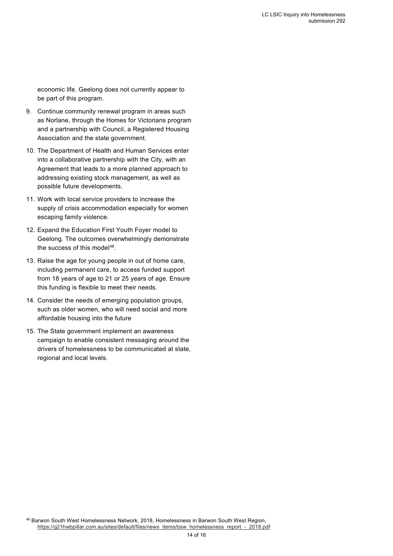economic life. Geelong does not currently appear to be part of this program.

- 9. Continue community renewal program in areas such as Norlane, through the Homes for Victorians program and a partnership with Council, a Registered Housing Association and the state government.
- 10. The Department of Health and Human Services enter into a collaborative partnership with the City, with an Agreement that leads to a more planned approach to addressing existing stock management, as well as possible future developments.
- 11. Work with local service providers to increase the supply of crisis accommodation especially for women escaping family violence.
- 12. Expand the Education First Youth Foyer model to Geelong. The outcomes overwhelmingly demonstrate the success of this model<sup>48</sup>.
- 13. Raise the age for young people in out of home care, including permanent care, to access funded support from 18 years of age to 21 or 25 years of age. Ensure this funding is flexible to meet their needs.
- 14. Consider the needs of emerging population groups, such as older women, who will need social and more affordable housing into the future
- 15. The State government implement an awareness campaign to enable consistent messaging around the drivers of homelessness to be communicated at state, regional and local levels.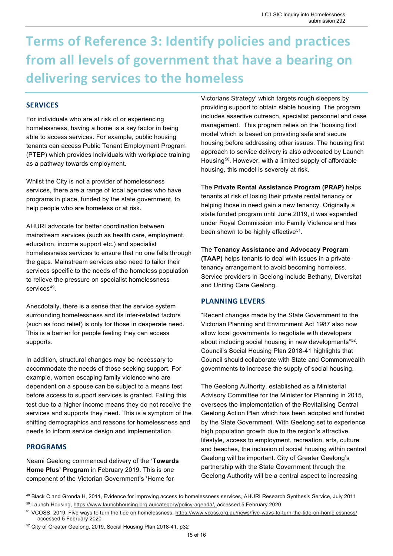### **Terms of Reference 3: Identify policies and practices from all levels of government that have a bearing on delivering services to the homeless**

### **SERVICES**

For individuals who are at risk of or experiencing homelessness, having a home is a key factor in being able to access services. For example, public housing tenants can access Public Tenant Employment Program (PTEP) which provides individuals with workplace training as a pathway towards employment.

Whilst the City is not a provider of homelessness services, there are a range of local agencies who have programs in place, funded by the state government, to help people who are homeless or at risk.

AHURI advocate for better coordination between mainstream services (such as health care, employment, education, income support etc.) and specialist homelessness services to ensure that no one falls through the gaps. Mainstream services also need to tailor their services specific to the needs of the homeless population to relieve the pressure on specialist homelessness services<sup>49</sup>.

Anecdotally, there is a sense that the service system surrounding homelessness and its inter-related factors (such as food relief) is only for those in desperate need. This is a barrier for people feeling they can access supports.

In addition, structural changes may be necessary to accommodate the needs of those seeking support. For example, women escaping family violence who are dependent on a spouse can be subject to a means test before access to support services is granted. Failing this test due to a higher income means they do not receive the services and supports they need. This is a symptom of the shifting demographics and reasons for homelessness and needs to inform service design and implementation.

### **PROGRAMS**

Neami Geelong commenced delivery of the **'Towards Home Plus' Program** in February 2019. This is one component of the Victorian Government's 'Home for

Victorians Strategy' which targets rough sleepers by providing support to obtain stable housing. The program includes assertive outreach, specialist personnel and case management. This program relies on the 'housing first' model which is based on providing safe and secure housing before addressing other issues. The housing first approach to service delivery is also advocated by Launch Housing<sup>50</sup>. However, with a limited supply of affordable housing, this model is severely at risk.

The **Private Rental Assistance Program (PRAP)** helps tenants at risk of losing their private rental tenancy or helping those in need gain a new tenancy. Originally a state funded program until June 2019, it was expanded under Royal Commission into Family Violence and has been shown to be highly effective<sup>51</sup>.

The **Tenancy Assistance and Advocacy Program (TAAP)** helps tenants to deal with issues in a private tenancy arrangement to avoid becoming homeless. Service providers in Geelong include Bethany, Diversitat and Uniting Care Geelong.

### **PLANNING LEVERS**

"Recent changes made by the State Government to the Victorian Planning and Environment Act 1987 also now allow local governments to negotiate with developers about including social housing in new developments"52. Council's Social Housing Plan 2018-41 highlights that Council should collaborate with State and Commonwealth governments to increase the supply of social housing.

The Geelong Authority, established as a Ministerial Advisory Committee for the Minister for Planning in 2015, oversees the implementation of the Revitalising Central Geelong Action Plan which has been adopted and funded by the State Government. With Geelong set to experience high population growth due to the region's attractive lifestyle, access to employment, recreation, arts, culture and beaches, the inclusion of social housing within central Geelong will be important. City of Greater Geelong's partnership with the State Government through the Geelong Authority will be a central aspect to increasing

<sup>49</sup> Black C and Gronda H, 2011, Evidence for improving access to homelessness services, AHURI Research Synthesis Service, July 2011 50 Launch Housing, https://www.launchhousing.org.au/category/policy-agenda/, accessed 5 February 2020

<sup>51</sup> VCOSS, 2019, Five ways to turn the tide on homelessness, https://www.vcoss.org.au/news/five-ways-to-turn-the-tide-on-homelessness/ accessed 5 February 2020

<sup>52</sup> City of Greater Geelong, 2019, Social Housing Plan 2018-41, p32